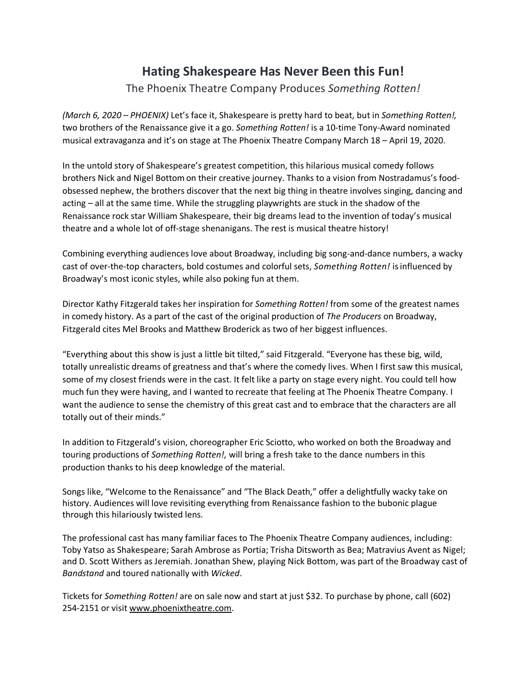## **Hating Shakespeare Has Never Been this Fun!**

## The Phoenix Theatre Company Produces *Something Rotten!*

*(March 6, 2020 – PHOENIX)* Let's face it, Shakespeare is pretty hard to beat, but in *Something Rotten!,* two brothers of the Renaissance give it a go. *Something Rotten!* is a 10-time Tony-Award nominated musical extravaganza and it's on stage at The Phoenix Theatre Company March 18 – April 19, 2020.

In the untold story of Shakespeare's greatest competition, this hilarious musical comedy follows brothers Nick and Nigel Bottom on their creative journey. Thanks to a vision from Nostradamus's foodobsessed nephew, the brothers discover that the next big thing in theatre involves singing, dancing and acting – all at the same time. While the struggling playwrights are stuck in the shadow of the Renaissance rock star William Shakespeare, their big dreams lead to the invention of today's musical theatre and a whole lot of off-stage shenanigans. The rest is musical theatre history!

Combining everything audiences love about Broadway, including big song-and-dance numbers, a wacky cast of over-the-top characters, bold costumes and colorful sets, *Something Rotten!* isinfluenced by Broadway's most iconic styles, while also poking fun at them.

Director Kathy Fitzgerald takes her inspiration for *Something Rotten!* from some of the greatest names in comedy history. As a part of the cast of the original production of *The Producers* on Broadway, Fitzgerald cites Mel Brooks and Matthew Broderick as two of her biggest influences.

"Everything about this show is just a little bit tilted," said Fitzgerald. "Everyone has these big, wild, totally unrealistic dreams of greatness and that's where the comedy lives. When I first saw this musical, some of my closest friends were in the cast. It felt like a party on stage every night. You could tell how much fun they were having, and I wanted to recreate that feeling at The Phoenix Theatre Company. I want the audience to sense the chemistry of this great cast and to embrace that the characters are all totally out of their minds."

In addition to Fitzgerald's vision, choreographer Eric Sciotto, who worked on both the Broadway and touring productions of *Something Rotten!,* will bring a fresh take to the dance numbers in this production thanks to his deep knowledge of the material.

Songs like, "Welcome to the Renaissance" and "The Black Death," offer a delightfully wacky take on history. Audiences will love revisiting everything from Renaissance fashion to the bubonic plague through this hilariously twisted lens.

The professional cast has many familiar faces to The Phoenix Theatre Company audiences, including: Toby Yatso as Shakespeare; Sarah Ambrose as Portia; Trisha Ditsworth as Bea; Matravius Avent as Nigel; and D. Scott Withers as Jeremiah. Jonathan Shew, playing Nick Bottom, was part of the Broadway cast of *Bandstand* and toured nationally with *Wicked*.

Tickets for *Something Rotten!* are on sale now and start at just \$32. To purchase by phone, call (602) 254-2151 or visit www.phoenixtheatre.com.